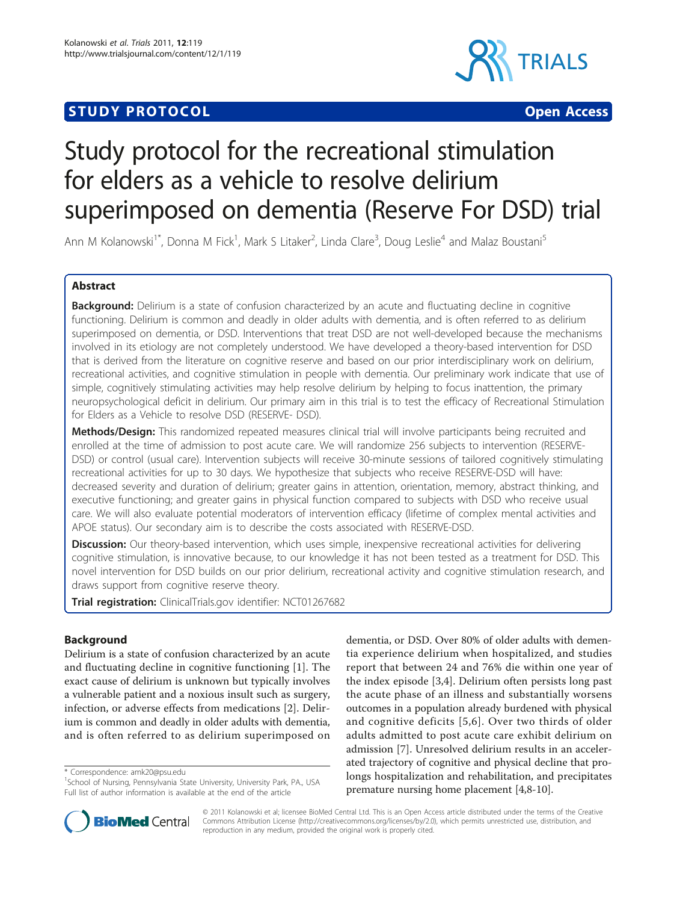# **STUDY PROTOCOL CONSUMING THE CONSUMING OPEN ACCESS**



# Study protocol for the recreational stimulation for elders as a vehicle to resolve delirium superimposed on dementia (Reserve For DSD) trial

Ann M Kolanowski<sup>1\*</sup>, Donna M Fick<sup>1</sup>, Mark S Litaker<sup>2</sup>, Linda Clare<sup>3</sup>, Doug Leslie<sup>4</sup> and Malaz Boustani<sup>5</sup>

# Abstract

**Background:** Delirium is a state of confusion characterized by an acute and fluctuating decline in cognitive functioning. Delirium is common and deadly in older adults with dementia, and is often referred to as delirium superimposed on dementia, or DSD. Interventions that treat DSD are not well-developed because the mechanisms involved in its etiology are not completely understood. We have developed a theory-based intervention for DSD that is derived from the literature on cognitive reserve and based on our prior interdisciplinary work on delirium, recreational activities, and cognitive stimulation in people with dementia. Our preliminary work indicate that use of simple, cognitively stimulating activities may help resolve delirium by helping to focus inattention, the primary neuropsychological deficit in delirium. Our primary aim in this trial is to test the efficacy of Recreational Stimulation for Elders as a Vehicle to resolve DSD (RESERVE- DSD).

Methods/Design: This randomized repeated measures clinical trial will involve participants being recruited and enrolled at the time of admission to post acute care. We will randomize 256 subjects to intervention (RESERVE-DSD) or control (usual care). Intervention subjects will receive 30-minute sessions of tailored cognitively stimulating recreational activities for up to 30 days. We hypothesize that subjects who receive RESERVE-DSD will have: decreased severity and duration of delirium; greater gains in attention, orientation, memory, abstract thinking, and executive functioning; and greater gains in physical function compared to subjects with DSD who receive usual care. We will also evaluate potential moderators of intervention efficacy (lifetime of complex mental activities and APOE status). Our secondary aim is to describe the costs associated with RESERVE-DSD.

Discussion: Our theory-based intervention, which uses simple, inexpensive recreational activities for delivering cognitive stimulation, is innovative because, to our knowledge it has not been tested as a treatment for DSD. This novel intervention for DSD builds on our prior delirium, recreational activity and cognitive stimulation research, and draws support from cognitive reserve theory.

Trial registration: ClinicalTrials.gov identifier: [NCT01267682](http://www.clinicaltrials.gov/ct2/show/NCT01267682)

# Background

Delirium is a state of confusion characterized by an acute and fluctuating decline in cognitive functioning [[1\]](#page-11-0). The exact cause of delirium is unknown but typically involves a vulnerable patient and a noxious insult such as surgery, infection, or adverse effects from medications [[2\]](#page-11-0). Delirium is common and deadly in older adults with dementia, and is often referred to as delirium superimposed on

\* Correspondence: [amk20@psu.edu](mailto:amk20@psu.edu)

dementia, or DSD. Over 80% of older adults with dementia experience delirium when hospitalized, and studies report that between 24 and 76% die within one year of the index episode [\[3,4](#page-11-0)]. Delirium often persists long past the acute phase of an illness and substantially worsens outcomes in a population already burdened with physical and cognitive deficits [[5](#page-11-0),[6](#page-11-0)]. Over two thirds of older adults admitted to post acute care exhibit delirium on admission [\[7](#page-11-0)]. Unresolved delirium results in an accelerated trajectory of cognitive and physical decline that prolongs hospitalization and rehabilitation, and precipitates premature nursing home placement [\[4](#page-11-0),[8](#page-11-0)-[10\]](#page-11-0).



© 2011 Kolanowski et al; licensee BioMed Central Ltd. This is an Open Access article distributed under the terms of the Creative Commons Attribution License [\(http://creativecommons.org/licenses/by/2.0](http://creativecommons.org/licenses/by/2.0)), which permits unrestricted use, distribution, and reproduction in any medium, provided the original work is properly cited.

<sup>&</sup>lt;sup>1</sup>School of Nursing, Pennsylvania State University, University Park, PA., USA Full list of author information is available at the end of the article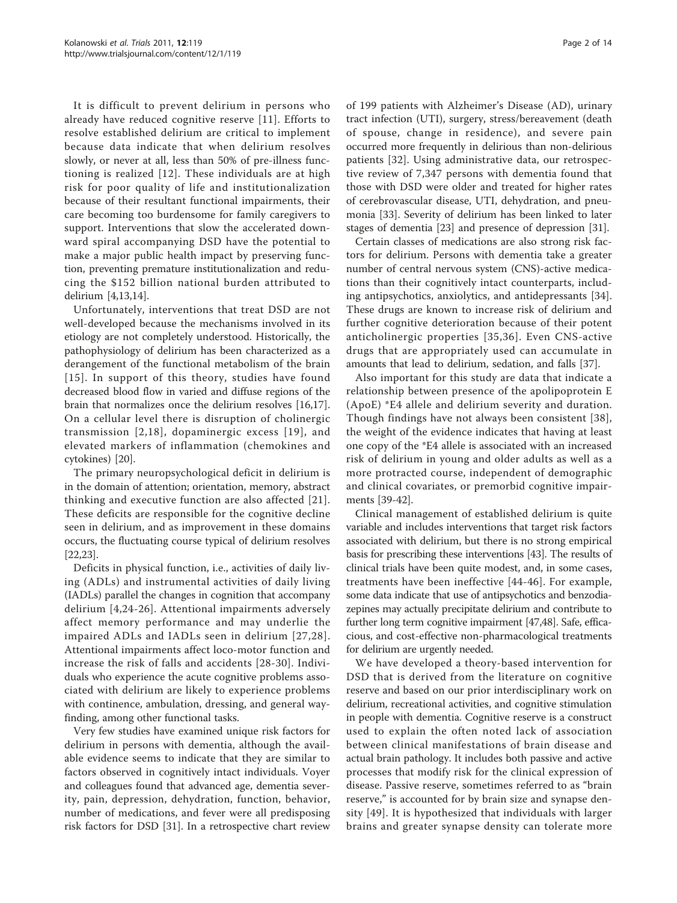It is difficult to prevent delirium in persons who already have reduced cognitive reserve [[11\]](#page-11-0). Efforts to resolve established delirium are critical to implement because data indicate that when delirium resolves slowly, or never at all, less than 50% of pre-illness functioning is realized [[12](#page-11-0)]. These individuals are at high risk for poor quality of life and institutionalization because of their resultant functional impairments, their care becoming too burdensome for family caregivers to support. Interventions that slow the accelerated downward spiral accompanying DSD have the potential to make a major public health impact by preserving function, preventing premature institutionalization and reducing the \$152 billion national burden attributed to delirium [\[4,13,14](#page-11-0)].

Unfortunately, interventions that treat DSD are not well-developed because the mechanisms involved in its etiology are not completely understood. Historically, the pathophysiology of delirium has been characterized as a derangement of the functional metabolism of the brain [[15](#page-11-0)]. In support of this theory, studies have found decreased blood flow in varied and diffuse regions of the brain that normalizes once the delirium resolves [\[16,17](#page-11-0)]. On a cellular level there is disruption of cholinergic transmission [[2](#page-11-0),[18\]](#page-11-0), dopaminergic excess [[19](#page-11-0)], and elevated markers of inflammation (chemokines and cytokines) [\[20\]](#page-11-0).

The primary neuropsychological deficit in delirium is in the domain of attention; orientation, memory, abstract thinking and executive function are also affected [[21\]](#page-11-0). These deficits are responsible for the cognitive decline seen in delirium, and as improvement in these domains occurs, the fluctuating course typical of delirium resolves [[22,23\]](#page-11-0).

Deficits in physical function, i.e., activities of daily living (ADLs) and instrumental activities of daily living (IADLs) parallel the changes in cognition that accompany delirium [[4,24-26](#page-11-0)]. Attentional impairments adversely affect memory performance and may underlie the impaired ADLs and IADLs seen in delirium [[27](#page-11-0),[28\]](#page-11-0). Attentional impairments affect loco-motor function and increase the risk of falls and accidents [\[28-30\]](#page-11-0). Individuals who experience the acute cognitive problems associated with delirium are likely to experience problems with continence, ambulation, dressing, and general wayfinding, among other functional tasks.

Very few studies have examined unique risk factors for delirium in persons with dementia, although the available evidence seems to indicate that they are similar to factors observed in cognitively intact individuals. Voyer and colleagues found that advanced age, dementia severity, pain, depression, dehydration, function, behavior, number of medications, and fever were all predisposing risk factors for DSD [\[31](#page-11-0)]. In a retrospective chart review of 199 patients with Alzheimer's Disease (AD), urinary tract infection (UTI), surgery, stress/bereavement (death of spouse, change in residence), and severe pain occurred more frequently in delirious than non-delirious patients [[32\]](#page-11-0). Using administrative data, our retrospective review of 7,347 persons with dementia found that those with DSD were older and treated for higher rates of cerebrovascular disease, UTI, dehydration, and pneumonia [[33\]](#page-11-0). Severity of delirium has been linked to later stages of dementia [\[23\]](#page-11-0) and presence of depression [\[31\]](#page-11-0).

Certain classes of medications are also strong risk factors for delirium. Persons with dementia take a greater number of central nervous system (CNS)-active medications than their cognitively intact counterparts, including antipsychotics, anxiolytics, and antidepressants [\[34](#page-11-0)]. These drugs are known to increase risk of delirium and further cognitive deterioration because of their potent anticholinergic properties [[35,36](#page-11-0)]. Even CNS-active drugs that are appropriately used can accumulate in amounts that lead to delirium, sedation, and falls [\[37\]](#page-11-0).

Also important for this study are data that indicate a relationship between presence of the apolipoprotein E (ApoE) \*E4 allele and delirium severity and duration. Though findings have not always been consistent [[38\]](#page-11-0), the weight of the evidence indicates that having at least one copy of the \*E4 allele is associated with an increased risk of delirium in young and older adults as well as a more protracted course, independent of demographic and clinical covariates, or premorbid cognitive impairments [\[39](#page-11-0)-[42\]](#page-11-0).

Clinical management of established delirium is quite variable and includes interventions that target risk factors associated with delirium, but there is no strong empirical basis for prescribing these interventions [[43](#page-11-0)]. The results of clinical trials have been quite modest, and, in some cases, treatments have been ineffective [[44](#page-11-0)-[46](#page-12-0)]. For example, some data indicate that use of antipsychotics and benzodiazepines may actually precipitate delirium and contribute to further long term cognitive impairment [\[47,48](#page-12-0)]. Safe, efficacious, and cost-effective non-pharmacological treatments for delirium are urgently needed.

We have developed a theory-based intervention for DSD that is derived from the literature on cognitive reserve and based on our prior interdisciplinary work on delirium, recreational activities, and cognitive stimulation in people with dementia. Cognitive reserve is a construct used to explain the often noted lack of association between clinical manifestations of brain disease and actual brain pathology. It includes both passive and active processes that modify risk for the clinical expression of disease. Passive reserve, sometimes referred to as "brain reserve," is accounted for by brain size and synapse density [[49](#page-12-0)]. It is hypothesized that individuals with larger brains and greater synapse density can tolerate more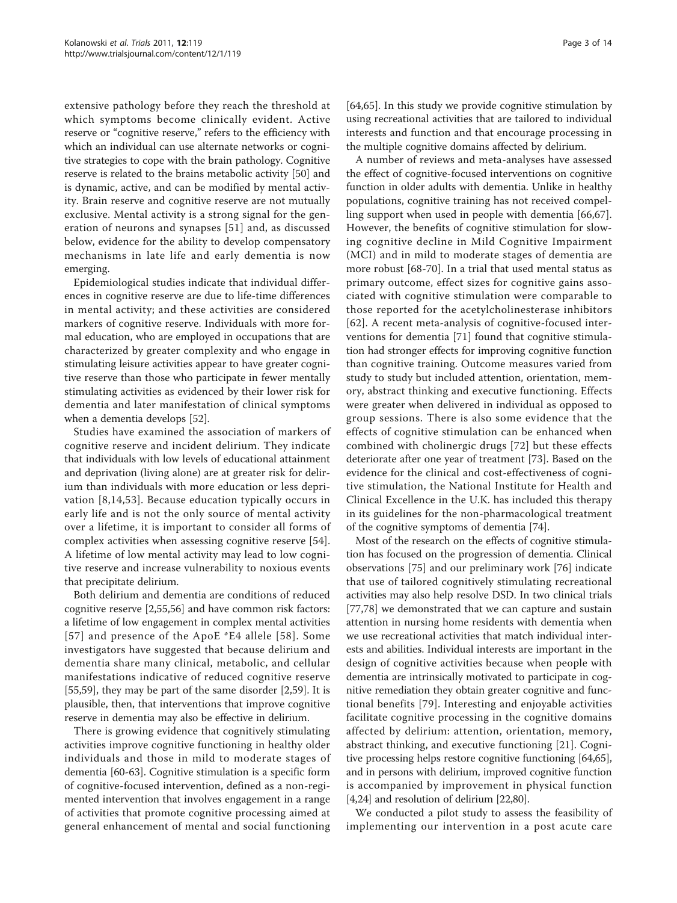extensive pathology before they reach the threshold at which symptoms become clinically evident. Active reserve or "cognitive reserve," refers to the efficiency with which an individual can use alternate networks or cognitive strategies to cope with the brain pathology. Cognitive reserve is related to the brains metabolic activity [[50\]](#page-12-0) and is dynamic, active, and can be modified by mental activity. Brain reserve and cognitive reserve are not mutually exclusive. Mental activity is a strong signal for the generation of neurons and synapses [[51](#page-12-0)] and, as discussed below, evidence for the ability to develop compensatory mechanisms in late life and early dementia is now emerging.

Epidemiological studies indicate that individual differences in cognitive reserve are due to life-time differences in mental activity; and these activities are considered markers of cognitive reserve. Individuals with more formal education, who are employed in occupations that are characterized by greater complexity and who engage in stimulating leisure activities appear to have greater cognitive reserve than those who participate in fewer mentally stimulating activities as evidenced by their lower risk for dementia and later manifestation of clinical symptoms when a dementia develops [[52](#page-12-0)].

Studies have examined the association of markers of cognitive reserve and incident delirium. They indicate that individuals with low levels of educational attainment and deprivation (living alone) are at greater risk for delirium than individuals with more education or less deprivation [[8,14,](#page-11-0)[53](#page-12-0)]. Because education typically occurs in early life and is not the only source of mental activity over a lifetime, it is important to consider all forms of complex activities when assessing cognitive reserve [\[54](#page-12-0)]. A lifetime of low mental activity may lead to low cognitive reserve and increase vulnerability to noxious events that precipitate delirium.

Both delirium and dementia are conditions of reduced cognitive reserve [[2,](#page-11-0)[55,56](#page-12-0)] and have common risk factors: a lifetime of low engagement in complex mental activities [[57](#page-12-0)] and presence of the ApoE \*E4 allele [[58](#page-12-0)]. Some investigators have suggested that because delirium and dementia share many clinical, metabolic, and cellular manifestations indicative of reduced cognitive reserve [[55,59\]](#page-12-0), they may be part of the same disorder [\[2](#page-11-0)[,59\]](#page-12-0). It is plausible, then, that interventions that improve cognitive reserve in dementia may also be effective in delirium.

There is growing evidence that cognitively stimulating activities improve cognitive functioning in healthy older individuals and those in mild to moderate stages of dementia [\[60-63](#page-12-0)]. Cognitive stimulation is a specific form of cognitive-focused intervention, defined as a non-regimented intervention that involves engagement in a range of activities that promote cognitive processing aimed at general enhancement of mental and social functioning

[[64,65\]](#page-12-0). In this study we provide cognitive stimulation by using recreational activities that are tailored to individual interests and function and that encourage processing in the multiple cognitive domains affected by delirium.

A number of reviews and meta-analyses have assessed the effect of cognitive-focused interventions on cognitive function in older adults with dementia. Unlike in healthy populations, cognitive training has not received compelling support when used in people with dementia [[66,67](#page-12-0)]. However, the benefits of cognitive stimulation for slowing cognitive decline in Mild Cognitive Impairment (MCI) and in mild to moderate stages of dementia are more robust [[68-70\]](#page-12-0). In a trial that used mental status as primary outcome, effect sizes for cognitive gains associated with cognitive stimulation were comparable to those reported for the acetylcholinesterase inhibitors [[62](#page-12-0)]. A recent meta-analysis of cognitive-focused interventions for dementia [[71\]](#page-12-0) found that cognitive stimulation had stronger effects for improving cognitive function than cognitive training. Outcome measures varied from study to study but included attention, orientation, memory, abstract thinking and executive functioning. Effects were greater when delivered in individual as opposed to group sessions. There is also some evidence that the effects of cognitive stimulation can be enhanced when combined with cholinergic drugs [\[72\]](#page-12-0) but these effects deteriorate after one year of treatment [[73\]](#page-12-0). Based on the evidence for the clinical and cost-effectiveness of cognitive stimulation, the National Institute for Health and Clinical Excellence in the U.K. has included this therapy in its guidelines for the non-pharmacological treatment of the cognitive symptoms of dementia [[74](#page-12-0)].

Most of the research on the effects of cognitive stimulation has focused on the progression of dementia. Clinical observations [\[75](#page-12-0)] and our preliminary work [\[76](#page-12-0)] indicate that use of tailored cognitively stimulating recreational activities may also help resolve DSD. In two clinical trials [[77,78\]](#page-12-0) we demonstrated that we can capture and sustain attention in nursing home residents with dementia when we use recreational activities that match individual interests and abilities. Individual interests are important in the design of cognitive activities because when people with dementia are intrinsically motivated to participate in cognitive remediation they obtain greater cognitive and functional benefits [[79\]](#page-12-0). Interesting and enjoyable activities facilitate cognitive processing in the cognitive domains affected by delirium: attention, orientation, memory, abstract thinking, and executive functioning [\[21](#page-11-0)]. Cognitive processing helps restore cognitive functioning [\[64,65](#page-12-0)], and in persons with delirium, improved cognitive function is accompanied by improvement in physical function [[4,24](#page-11-0)] and resolution of delirium [[22](#page-11-0)[,80\]](#page-12-0).

We conducted a pilot study to assess the feasibility of implementing our intervention in a post acute care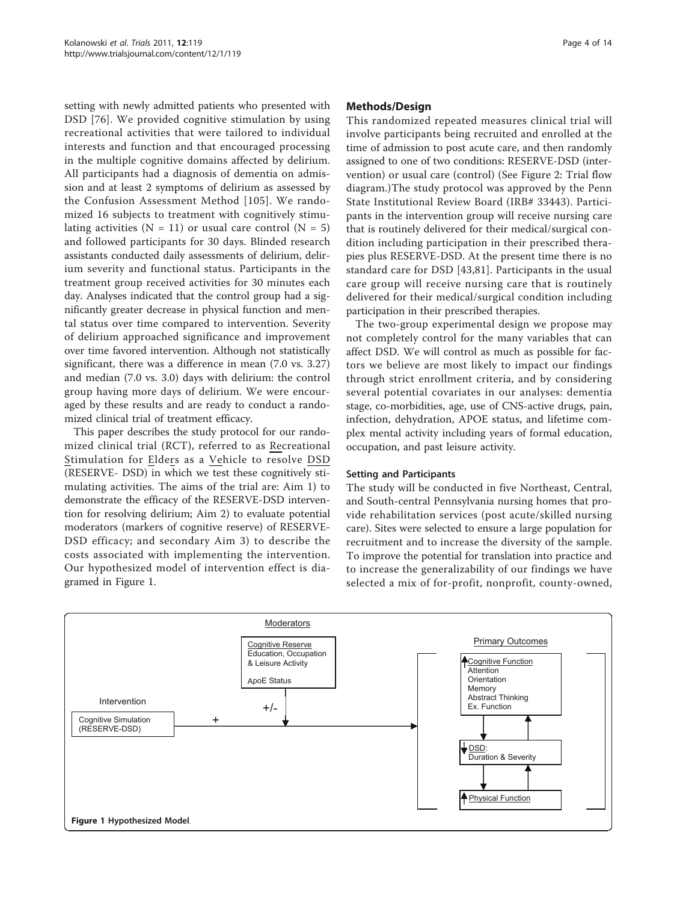setting with newly admitted patients who presented with DSD [\[76](#page-12-0)]. We provided cognitive stimulation by using recreational activities that were tailored to individual interests and function and that encouraged processing in the multiple cognitive domains affected by delirium. All participants had a diagnosis of dementia on admission and at least 2 symptoms of delirium as assessed by the Confusion Assessment Method [[105\]](#page-13-0). We randomized 16 subjects to treatment with cognitively stimulating activities  $(N = 11)$  or usual care control  $(N = 5)$ and followed participants for 30 days. Blinded research assistants conducted daily assessments of delirium, delirium severity and functional status. Participants in the treatment group received activities for 30 minutes each day. Analyses indicated that the control group had a significantly greater decrease in physical function and mental status over time compared to intervention. Severity of delirium approached significance and improvement over time favored intervention. Although not statistically significant, there was a difference in mean (7.0 vs. 3.27) and median (7.0 vs. 3.0) days with delirium: the control group having more days of delirium. We were encouraged by these results and are ready to conduct a randomized clinical trial of treatment efficacy.

This paper describes the study protocol for our randomized clinical trial (RCT), referred to as Recreational Stimulation for Elders as a Vehicle to resolve DSD (RESERVE- DSD) in which we test these cognitively stimulating activities. The aims of the trial are: Aim 1) to demonstrate the efficacy of the RESERVE-DSD intervention for resolving delirium; Aim 2) to evaluate potential moderators (markers of cognitive reserve) of RESERVE-DSD efficacy; and secondary Aim 3) to describe the costs associated with implementing the intervention. Our hypothesized model of intervention effect is diagramed in Figure 1.

#### Methods/Design

This randomized repeated measures clinical trial will involve participants being recruited and enrolled at the time of admission to post acute care, and then randomly assigned to one of two conditions: RESERVE-DSD (intervention) or usual care (control) (See Figure [2:](#page-4-0) Trial flow diagram.)The study protocol was approved by the Penn State Institutional Review Board (IRB# 33443). Participants in the intervention group will receive nursing care that is routinely delivered for their medical/surgical condition including participation in their prescribed therapies plus RESERVE-DSD. At the present time there is no standard care for DSD [\[43](#page-11-0),[81\]](#page-12-0). Participants in the usual care group will receive nursing care that is routinely delivered for their medical/surgical condition including participation in their prescribed therapies.

The two-group experimental design we propose may not completely control for the many variables that can affect DSD. We will control as much as possible for factors we believe are most likely to impact our findings through strict enrollment criteria, and by considering several potential covariates in our analyses: dementia stage, co-morbidities, age, use of CNS-active drugs, pain, infection, dehydration, APOE status, and lifetime complex mental activity including years of formal education, occupation, and past leisure activity.

#### Setting and Participants

The study will be conducted in five Northeast, Central, and South-central Pennsylvania nursing homes that provide rehabilitation services (post acute/skilled nursing care). Sites were selected to ensure a large population for recruitment and to increase the diversity of the sample. To improve the potential for translation into practice and to increase the generalizability of our findings we have selected a mix of for-profit, nonprofit, county-owned,

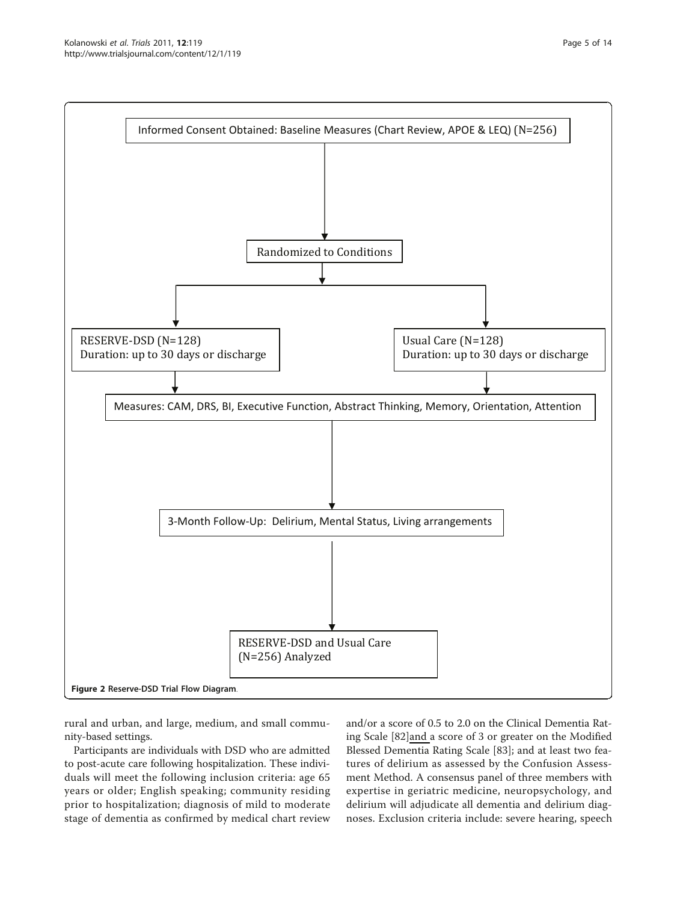<span id="page-4-0"></span>

rural and urban, and large, medium, and small community-based settings.

Participants are individuals with DSD who are admitted to post-acute care following hospitalization. These individuals will meet the following inclusion criteria: age 65 years or older; English speaking; community residing prior to hospitalization; diagnosis of mild to moderate stage of dementia as confirmed by medical chart review and/or a score of 0.5 to 2.0 on the Clinical Dementia Rating Scale [\[82](#page-12-0)]and a score of 3 or greater on the Modified Blessed Dementia Rating Scale [\[83](#page-12-0)]; and at least two features of delirium as assessed by the Confusion Assessment Method. A consensus panel of three members with expertise in geriatric medicine, neuropsychology, and delirium will adjudicate all dementia and delirium diagnoses. Exclusion criteria include: severe hearing, speech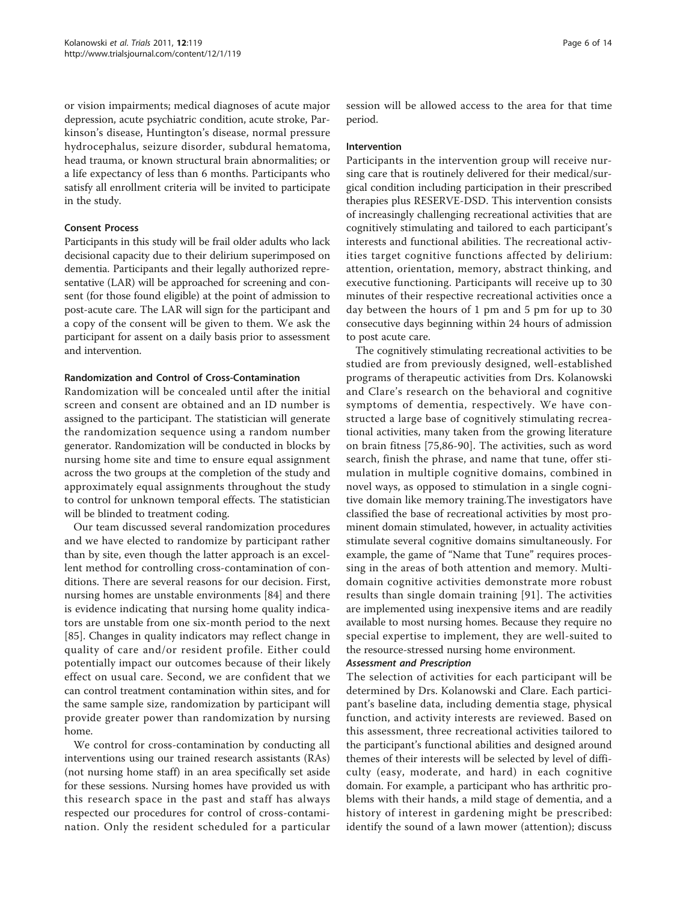or vision impairments; medical diagnoses of acute major depression, acute psychiatric condition, acute stroke, Parkinson's disease, Huntington's disease, normal pressure hydrocephalus, seizure disorder, subdural hematoma, head trauma, or known structural brain abnormalities; or a life expectancy of less than 6 months. Participants who satisfy all enrollment criteria will be invited to participate in the study.

#### Consent Process

Participants in this study will be frail older adults who lack decisional capacity due to their delirium superimposed on dementia. Participants and their legally authorized representative (LAR) will be approached for screening and consent (for those found eligible) at the point of admission to post-acute care. The LAR will sign for the participant and a copy of the consent will be given to them. We ask the participant for assent on a daily basis prior to assessment and intervention.

# Randomization and Control of Cross-Contamination

Randomization will be concealed until after the initial screen and consent are obtained and an ID number is assigned to the participant. The statistician will generate the randomization sequence using a random number generator. Randomization will be conducted in blocks by nursing home site and time to ensure equal assignment across the two groups at the completion of the study and approximately equal assignments throughout the study to control for unknown temporal effects. The statistician will be blinded to treatment coding.

Our team discussed several randomization procedures and we have elected to randomize by participant rather than by site, even though the latter approach is an excellent method for controlling cross-contamination of conditions. There are several reasons for our decision. First, nursing homes are unstable environments [[84](#page-12-0)] and there is evidence indicating that nursing home quality indicators are unstable from one six-month period to the next [[85\]](#page-12-0). Changes in quality indicators may reflect change in quality of care and/or resident profile. Either could potentially impact our outcomes because of their likely effect on usual care. Second, we are confident that we can control treatment contamination within sites, and for the same sample size, randomization by participant will provide greater power than randomization by nursing home.

We control for cross-contamination by conducting all interventions using our trained research assistants (RAs) (not nursing home staff) in an area specifically set aside for these sessions. Nursing homes have provided us with this research space in the past and staff has always respected our procedures for control of cross-contamination. Only the resident scheduled for a particular session will be allowed access to the area for that time period.

#### Intervention

Participants in the intervention group will receive nursing care that is routinely delivered for their medical/surgical condition including participation in their prescribed therapies plus RESERVE-DSD. This intervention consists of increasingly challenging recreational activities that are cognitively stimulating and tailored to each participant's interests and functional abilities. The recreational activities target cognitive functions affected by delirium: attention, orientation, memory, abstract thinking, and executive functioning. Participants will receive up to 30 minutes of their respective recreational activities once a day between the hours of 1 pm and 5 pm for up to 30 consecutive days beginning within 24 hours of admission to post acute care.

The cognitively stimulating recreational activities to be studied are from previously designed, well-established programs of therapeutic activities from Drs. Kolanowski and Clare's research on the behavioral and cognitive symptoms of dementia, respectively. We have constructed a large base of cognitively stimulating recreational activities, many taken from the growing literature on brain fitness [[75,86](#page-12-0)-[90](#page-12-0)]. The activities, such as word search, finish the phrase, and name that tune, offer stimulation in multiple cognitive domains, combined in novel ways, as opposed to stimulation in a single cognitive domain like memory training.The investigators have classified the base of recreational activities by most prominent domain stimulated, however, in actuality activities stimulate several cognitive domains simultaneously. For example, the game of "Name that Tune" requires processing in the areas of both attention and memory. Multidomain cognitive activities demonstrate more robust results than single domain training [[91](#page-12-0)]. The activities are implemented using inexpensive items and are readily available to most nursing homes. Because they require no special expertise to implement, they are well-suited to the resource-stressed nursing home environment.

# Assessment and Prescription

The selection of activities for each participant will be determined by Drs. Kolanowski and Clare. Each participant's baseline data, including dementia stage, physical function, and activity interests are reviewed. Based on this assessment, three recreational activities tailored to the participant's functional abilities and designed around themes of their interests will be selected by level of difficulty (easy, moderate, and hard) in each cognitive domain. For example, a participant who has arthritic problems with their hands, a mild stage of dementia, and a history of interest in gardening might be prescribed: identify the sound of a lawn mower (attention); discuss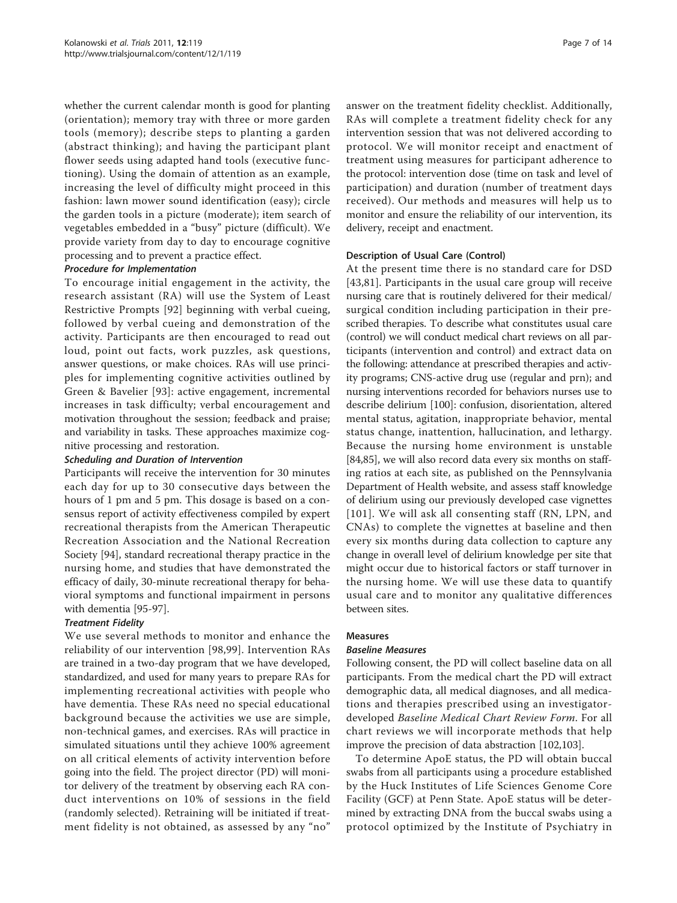whether the current calendar month is good for planting (orientation); memory tray with three or more garden tools (memory); describe steps to planting a garden (abstract thinking); and having the participant plant flower seeds using adapted hand tools (executive functioning). Using the domain of attention as an example, increasing the level of difficulty might proceed in this fashion: lawn mower sound identification (easy); circle the garden tools in a picture (moderate); item search of vegetables embedded in a "busy" picture (difficult). We provide variety from day to day to encourage cognitive processing and to prevent a practice effect.

#### Procedure for Implementation

To encourage initial engagement in the activity, the research assistant (RA) will use the System of Least Restrictive Prompts [\[92](#page-12-0)] beginning with verbal cueing, followed by verbal cueing and demonstration of the activity. Participants are then encouraged to read out loud, point out facts, work puzzles, ask questions, answer questions, or make choices. RAs will use principles for implementing cognitive activities outlined by Green & Bavelier [[93](#page-12-0)]: active engagement, incremental increases in task difficulty; verbal encouragement and motivation throughout the session; feedback and praise; and variability in tasks. These approaches maximize cognitive processing and restoration.

# Scheduling and Duration of Intervention

Participants will receive the intervention for 30 minutes each day for up to 30 consecutive days between the hours of 1 pm and 5 pm. This dosage is based on a consensus report of activity effectiveness compiled by expert recreational therapists from the American Therapeutic Recreation Association and the National Recreation Society [[94](#page-12-0)], standard recreational therapy practice in the nursing home, and studies that have demonstrated the efficacy of daily, 30-minute recreational therapy for behavioral symptoms and functional impairment in persons with dementia [[95](#page-13-0)-[97\]](#page-13-0).

# Treatment Fidelity

We use several methods to monitor and enhance the reliability of our intervention [[98,99](#page-13-0)]. Intervention RAs are trained in a two-day program that we have developed, standardized, and used for many years to prepare RAs for implementing recreational activities with people who have dementia. These RAs need no special educational background because the activities we use are simple, non-technical games, and exercises. RAs will practice in simulated situations until they achieve 100% agreement on all critical elements of activity intervention before going into the field. The project director (PD) will monitor delivery of the treatment by observing each RA conduct interventions on 10% of sessions in the field (randomly selected). Retraining will be initiated if treatment fidelity is not obtained, as assessed by any "no" answer on the treatment fidelity checklist. Additionally, RAs will complete a treatment fidelity check for any intervention session that was not delivered according to protocol. We will monitor receipt and enactment of treatment using measures for participant adherence to the protocol: intervention dose (time on task and level of participation) and duration (number of treatment days received). Our methods and measures will help us to monitor and ensure the reliability of our intervention, its delivery, receipt and enactment.

# Description of Usual Care (Control)

At the present time there is no standard care for DSD [[43](#page-11-0)[,81](#page-12-0)]. Participants in the usual care group will receive nursing care that is routinely delivered for their medical/ surgical condition including participation in their prescribed therapies. To describe what constitutes usual care (control) we will conduct medical chart reviews on all participants (intervention and control) and extract data on the following: attendance at prescribed therapies and activity programs; CNS-active drug use (regular and prn); and nursing interventions recorded for behaviors nurses use to describe delirium [[100](#page-13-0)]: confusion, disorientation, altered mental status, agitation, inappropriate behavior, mental status change, inattention, hallucination, and lethargy. Because the nursing home environment is unstable [[84](#page-12-0),[85](#page-12-0)], we will also record data every six months on staffing ratios at each site, as published on the Pennsylvania Department of Health website, and assess staff knowledge of delirium using our previously developed case vignettes [[101\]](#page-13-0). We will ask all consenting staff (RN, LPN, and CNAs) to complete the vignettes at baseline and then every six months during data collection to capture any change in overall level of delirium knowledge per site that might occur due to historical factors or staff turnover in the nursing home. We will use these data to quantify usual care and to monitor any qualitative differences between sites.

#### Measures

# Baseline Measures

Following consent, the PD will collect baseline data on all participants. From the medical chart the PD will extract demographic data, all medical diagnoses, and all medications and therapies prescribed using an investigatordeveloped Baseline Medical Chart Review Form. For all chart reviews we will incorporate methods that help improve the precision of data abstraction [\[102,103\]](#page-13-0).

To determine ApoE status, the PD will obtain buccal swabs from all participants using a procedure established by the Huck Institutes of Life Sciences Genome Core Facility (GCF) at Penn State. ApoE status will be determined by extracting DNA from the buccal swabs using a protocol optimized by the Institute of Psychiatry in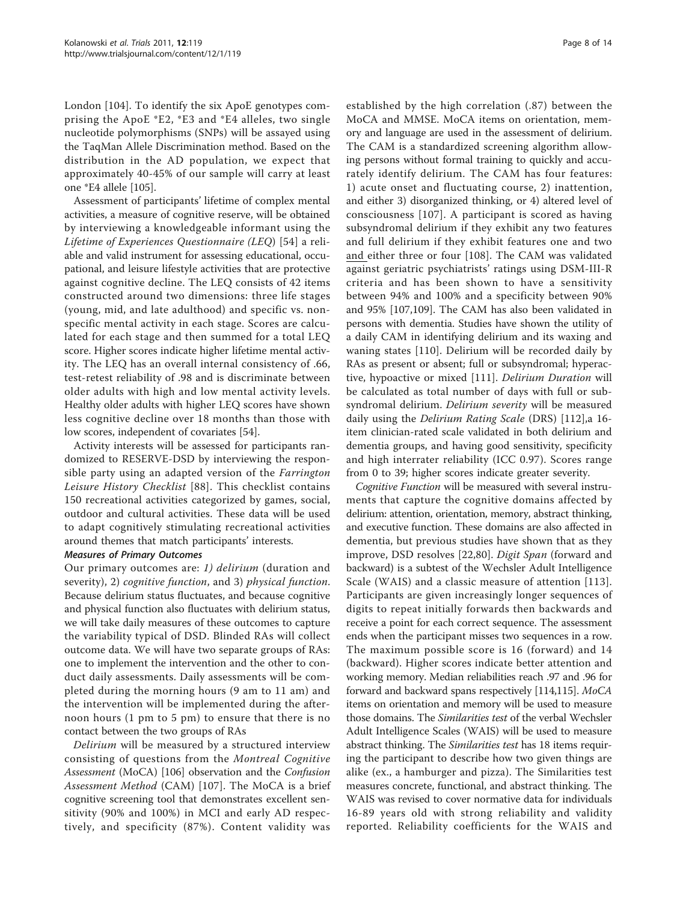London [\[104](#page-13-0)]. To identify the six ApoE genotypes comprising the ApoE \*E2, \*E3 and \*E4 alleles, two single nucleotide polymorphisms (SNPs) will be assayed using the TaqMan Allele Discrimination method. Based on the distribution in the AD population, we expect that approximately 40-45% of our sample will carry at least one \*E4 allele [[105](#page-13-0)].

Assessment of participants' lifetime of complex mental activities, a measure of cognitive reserve, will be obtained by interviewing a knowledgeable informant using the Lifetime of Experiences Questionnaire (LEQ) [[54](#page-12-0)] a reliable and valid instrument for assessing educational, occupational, and leisure lifestyle activities that are protective against cognitive decline. The LEQ consists of 42 items constructed around two dimensions: three life stages (young, mid, and late adulthood) and specific vs. nonspecific mental activity in each stage. Scores are calculated for each stage and then summed for a total LEQ score. Higher scores indicate higher lifetime mental activity. The LEQ has an overall internal consistency of .66, test-retest reliability of .98 and is discriminate between older adults with high and low mental activity levels. Healthy older adults with higher LEQ scores have shown less cognitive decline over 18 months than those with low scores, independent of covariates [[54](#page-12-0)].

Activity interests will be assessed for participants randomized to RESERVE-DSD by interviewing the responsible party using an adapted version of the Farrington Leisure History Checklist [[88](#page-12-0)]. This checklist contains 150 recreational activities categorized by games, social, outdoor and cultural activities. These data will be used to adapt cognitively stimulating recreational activities around themes that match participants' interests.

#### Measures of Primary Outcomes

Our primary outcomes are: 1) delirium (duration and severity), 2) cognitive function, and 3) physical function. Because delirium status fluctuates, and because cognitive and physical function also fluctuates with delirium status, we will take daily measures of these outcomes to capture the variability typical of DSD. Blinded RAs will collect outcome data. We will have two separate groups of RAs: one to implement the intervention and the other to conduct daily assessments. Daily assessments will be completed during the morning hours (9 am to 11 am) and the intervention will be implemented during the afternoon hours (1 pm to 5 pm) to ensure that there is no contact between the two groups of RAs

Delirium will be measured by a structured interview consisting of questions from the Montreal Cognitive Assessment (MoCA) [[106\]](#page-13-0) observation and the Confusion Assessment Method (CAM) [[107](#page-13-0)]. The MoCA is a brief cognitive screening tool that demonstrates excellent sensitivity (90% and 100%) in MCI and early AD respectively, and specificity (87%). Content validity was

established by the high correlation (.87) between the MoCA and MMSE. MoCA items on orientation, memory and language are used in the assessment of delirium. The CAM is a standardized screening algorithm allowing persons without formal training to quickly and accurately identify delirium. The CAM has four features: 1) acute onset and fluctuating course, 2) inattention, and either 3) disorganized thinking, or 4) altered level of consciousness [[107\]](#page-13-0). A participant is scored as having subsyndromal delirium if they exhibit any two features and full delirium if they exhibit features one and two and either three or four [\[108](#page-13-0)]. The CAM was validated against geriatric psychiatrists' ratings using DSM-III-R criteria and has been shown to have a sensitivity between 94% and 100% and a specificity between 90% and 95% [\[107,109\]](#page-13-0). The CAM has also been validated in persons with dementia. Studies have shown the utility of a daily CAM in identifying delirium and its waxing and waning states [[110\]](#page-13-0). Delirium will be recorded daily by RAs as present or absent; full or subsyndromal; hyperactive, hypoactive or mixed [[111\]](#page-13-0). Delirium Duration will be calculated as total number of days with full or subsyndromal delirium. Delirium severity will be measured daily using the Delirium Rating Scale (DRS) [[112\]](#page-13-0),a 16 item clinician-rated scale validated in both delirium and dementia groups, and having good sensitivity, specificity and high interrater reliability (ICC 0.97). Scores range from 0 to 39; higher scores indicate greater severity.

Cognitive Function will be measured with several instruments that capture the cognitive domains affected by delirium: attention, orientation, memory, abstract thinking, and executive function. These domains are also affected in dementia, but previous studies have shown that as they improve, DSD resolves [\[22](#page-11-0),[80\]](#page-12-0). Digit Span (forward and backward) is a subtest of the Wechsler Adult Intelligence Scale (WAIS) and a classic measure of attention [[113\]](#page-13-0). Participants are given increasingly longer sequences of digits to repeat initially forwards then backwards and receive a point for each correct sequence. The assessment ends when the participant misses two sequences in a row. The maximum possible score is 16 (forward) and 14 (backward). Higher scores indicate better attention and working memory. Median reliabilities reach .97 and .96 for forward and backward spans respectively [[114,115](#page-13-0)]. MoCA items on orientation and memory will be used to measure those domains. The Similarities test of the verbal Wechsler Adult Intelligence Scales (WAIS) will be used to measure abstract thinking. The *Similarities test* has 18 items requiring the participant to describe how two given things are alike (ex., a hamburger and pizza). The Similarities test measures concrete, functional, and abstract thinking. The WAIS was revised to cover normative data for individuals 16-89 years old with strong reliability and validity reported. Reliability coefficients for the WAIS and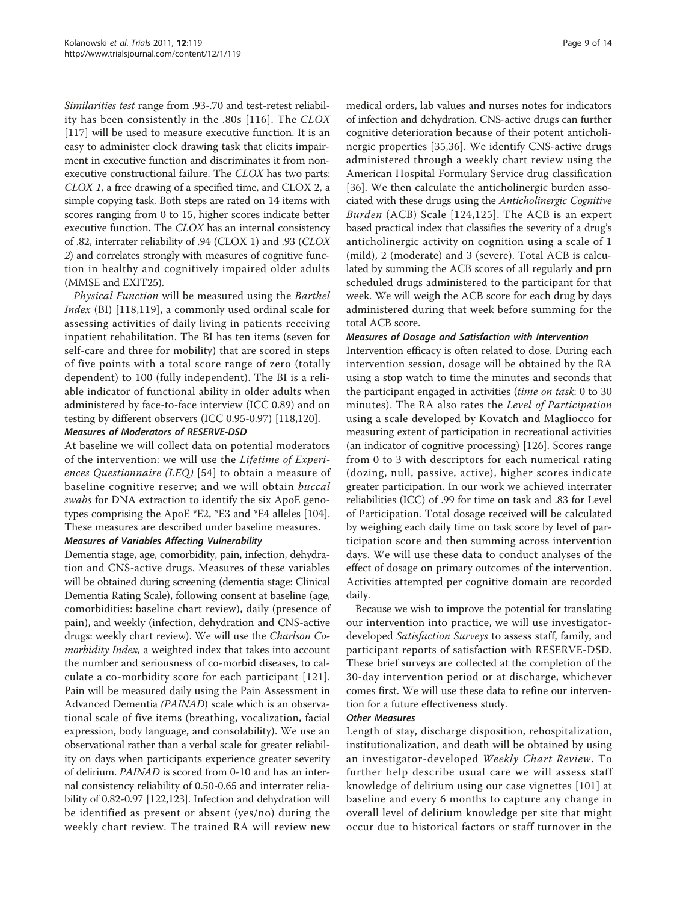Similarities test range from .93-.70 and test-retest reliability has been consistently in the .80s [\[116\]](#page-13-0). The CLOX [[117\]](#page-13-0) will be used to measure executive function. It is an easy to administer clock drawing task that elicits impairment in executive function and discriminates it from nonexecutive constructional failure. The CLOX has two parts: CLOX 1, a free drawing of a specified time, and CLOX 2, a simple copying task. Both steps are rated on 14 items with scores ranging from 0 to 15, higher scores indicate better executive function. The CLOX has an internal consistency of .82, interrater reliability of .94 (CLOX 1) and .93 (CLOX 2) and correlates strongly with measures of cognitive function in healthy and cognitively impaired older adults (MMSE and EXIT25).

Physical Function will be measured using the Barthel Index (BI) [[118,119](#page-13-0)], a commonly used ordinal scale for assessing activities of daily living in patients receiving inpatient rehabilitation. The BI has ten items (seven for self-care and three for mobility) that are scored in steps of five points with a total score range of zero (totally dependent) to 100 (fully independent). The BI is a reliable indicator of functional ability in older adults when administered by face-to-face interview (ICC 0.89) and on testing by different observers (ICC 0.95-0.97) [\[118,120\]](#page-13-0).

#### Measures of Moderators of RESERVE-DSD

At baseline we will collect data on potential moderators of the intervention: we will use the Lifetime of Experiences Questionnaire (LEQ) [[54](#page-12-0)] to obtain a measure of baseline cognitive reserve; and we will obtain buccal swabs for DNA extraction to identify the six ApoE genotypes comprising the ApoE \*E2, \*E3 and \*E4 alleles [[104](#page-13-0)]. These measures are described under baseline measures.

#### Measures of Variables Affecting Vulnerability

Dementia stage, age, comorbidity, pain, infection, dehydration and CNS-active drugs. Measures of these variables will be obtained during screening (dementia stage: Clinical Dementia Rating Scale), following consent at baseline (age, comorbidities: baseline chart review), daily (presence of pain), and weekly (infection, dehydration and CNS-active drugs: weekly chart review). We will use the Charlson Comorbidity Index, a weighted index that takes into account the number and seriousness of co-morbid diseases, to calculate a co-morbidity score for each participant [[121\]](#page-13-0). Pain will be measured daily using the Pain Assessment in Advanced Dementia (PAINAD) scale which is an observational scale of five items (breathing, vocalization, facial expression, body language, and consolability). We use an observational rather than a verbal scale for greater reliability on days when participants experience greater severity of delirium. PAINAD is scored from 0-10 and has an internal consistency reliability of 0.50-0.65 and interrater reliability of 0.82-0.97 [[122,123](#page-13-0)]. Infection and dehydration will be identified as present or absent (yes/no) during the weekly chart review. The trained RA will review new medical orders, lab values and nurses notes for indicators of infection and dehydration. CNS-active drugs can further cognitive deterioration because of their potent anticholinergic properties [\[35](#page-11-0),[36\]](#page-11-0). We identify CNS-active drugs administered through a weekly chart review using the American Hospital Formulary Service drug classification [[36\]](#page-11-0). We then calculate the anticholinergic burden associated with these drugs using the Anticholinergic Cognitive Burden (ACB) Scale [[124,125\]](#page-13-0). The ACB is an expert based practical index that classifies the severity of a drug's anticholinergic activity on cognition using a scale of 1 (mild), 2 (moderate) and 3 (severe). Total ACB is calculated by summing the ACB scores of all regularly and prn scheduled drugs administered to the participant for that week. We will weigh the ACB score for each drug by days administered during that week before summing for the total ACB score.

#### Measures of Dosage and Satisfaction with Intervention

Intervention efficacy is often related to dose. During each intervention session, dosage will be obtained by the RA using a stop watch to time the minutes and seconds that the participant engaged in activities (time on task: 0 to 30 minutes). The RA also rates the Level of Participation using a scale developed by Kovatch and Magliocco for measuring extent of participation in recreational activities (an indicator of cognitive processing) [[126](#page-13-0)]. Scores range from 0 to 3 with descriptors for each numerical rating (dozing, null, passive, active), higher scores indicate greater participation. In our work we achieved interrater reliabilities (ICC) of .99 for time on task and .83 for Level of Participation. Total dosage received will be calculated by weighing each daily time on task score by level of participation score and then summing across intervention days. We will use these data to conduct analyses of the effect of dosage on primary outcomes of the intervention. Activities attempted per cognitive domain are recorded daily.

Because we wish to improve the potential for translating our intervention into practice, we will use investigatordeveloped Satisfaction Surveys to assess staff, family, and participant reports of satisfaction with RESERVE-DSD. These brief surveys are collected at the completion of the 30-day intervention period or at discharge, whichever comes first. We will use these data to refine our intervention for a future effectiveness study.

#### Other Measures

Length of stay, discharge disposition, rehospitalization, institutionalization, and death will be obtained by using an investigator-developed Weekly Chart Review. To further help describe usual care we will assess staff knowledge of delirium using our case vignettes [\[101\]](#page-13-0) at baseline and every 6 months to capture any change in overall level of delirium knowledge per site that might occur due to historical factors or staff turnover in the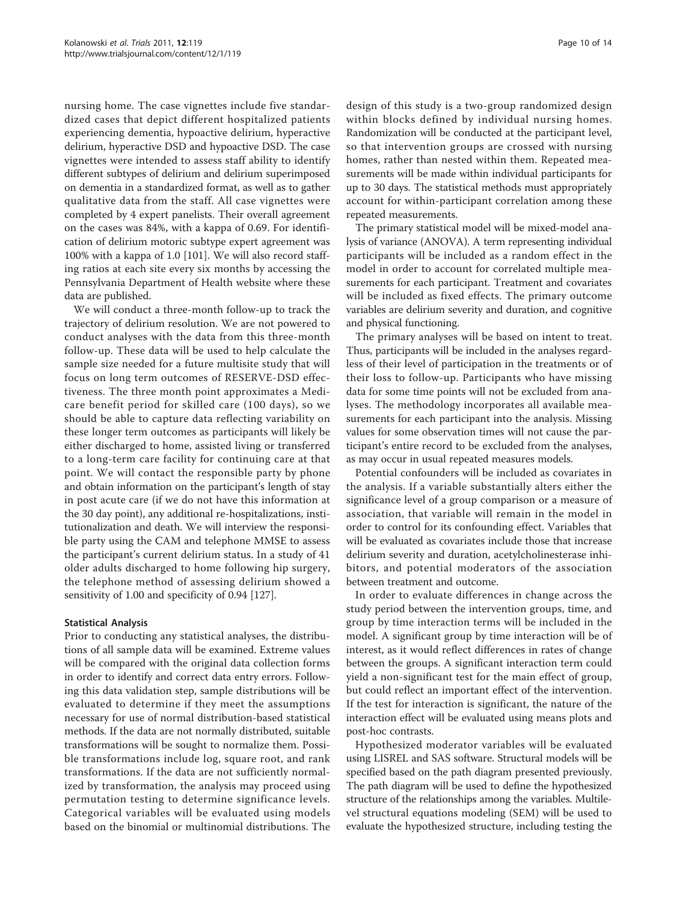nursing home. The case vignettes include five standardized cases that depict different hospitalized patients experiencing dementia, hypoactive delirium, hyperactive delirium, hyperactive DSD and hypoactive DSD. The case vignettes were intended to assess staff ability to identify different subtypes of delirium and delirium superimposed on dementia in a standardized format, as well as to gather qualitative data from the staff. All case vignettes were completed by 4 expert panelists. Their overall agreement on the cases was 84%, with a kappa of 0.69. For identification of delirium motoric subtype expert agreement was 100% with a kappa of 1.0 [[101](#page-13-0)]. We will also record staffing ratios at each site every six months by accessing the Pennsylvania Department of Health website where these data are published.

We will conduct a three-month follow-up to track the trajectory of delirium resolution. We are not powered to conduct analyses with the data from this three-month follow-up. These data will be used to help calculate the sample size needed for a future multisite study that will focus on long term outcomes of RESERVE-DSD effectiveness. The three month point approximates a Medicare benefit period for skilled care (100 days), so we should be able to capture data reflecting variability on these longer term outcomes as participants will likely be either discharged to home, assisted living or transferred to a long-term care facility for continuing care at that point. We will contact the responsible party by phone and obtain information on the participant's length of stay in post acute care (if we do not have this information at the 30 day point), any additional re-hospitalizations, institutionalization and death. We will interview the responsible party using the CAM and telephone MMSE to assess the participant's current delirium status. In a study of 41 older adults discharged to home following hip surgery, the telephone method of assessing delirium showed a sensitivity of 1.00 and specificity of 0.94 [\[127](#page-13-0)].

# Statistical Analysis

Prior to conducting any statistical analyses, the distributions of all sample data will be examined. Extreme values will be compared with the original data collection forms in order to identify and correct data entry errors. Following this data validation step, sample distributions will be evaluated to determine if they meet the assumptions necessary for use of normal distribution-based statistical methods. If the data are not normally distributed, suitable transformations will be sought to normalize them. Possible transformations include log, square root, and rank transformations. If the data are not sufficiently normalized by transformation, the analysis may proceed using permutation testing to determine significance levels. Categorical variables will be evaluated using models based on the binomial or multinomial distributions. The design of this study is a two-group randomized design within blocks defined by individual nursing homes. Randomization will be conducted at the participant level, so that intervention groups are crossed with nursing homes, rather than nested within them. Repeated measurements will be made within individual participants for up to 30 days. The statistical methods must appropriately account for within-participant correlation among these repeated measurements.

The primary statistical model will be mixed-model analysis of variance (ANOVA). A term representing individual participants will be included as a random effect in the model in order to account for correlated multiple measurements for each participant. Treatment and covariates will be included as fixed effects. The primary outcome variables are delirium severity and duration, and cognitive and physical functioning.

The primary analyses will be based on intent to treat. Thus, participants will be included in the analyses regardless of their level of participation in the treatments or of their loss to follow-up. Participants who have missing data for some time points will not be excluded from analyses. The methodology incorporates all available measurements for each participant into the analysis. Missing values for some observation times will not cause the participant's entire record to be excluded from the analyses, as may occur in usual repeated measures models.

Potential confounders will be included as covariates in the analysis. If a variable substantially alters either the significance level of a group comparison or a measure of association, that variable will remain in the model in order to control for its confounding effect. Variables that will be evaluated as covariates include those that increase delirium severity and duration, acetylcholinesterase inhibitors, and potential moderators of the association between treatment and outcome.

In order to evaluate differences in change across the study period between the intervention groups, time, and group by time interaction terms will be included in the model. A significant group by time interaction will be of interest, as it would reflect differences in rates of change between the groups. A significant interaction term could yield a non-significant test for the main effect of group, but could reflect an important effect of the intervention. If the test for interaction is significant, the nature of the interaction effect will be evaluated using means plots and post-hoc contrasts.

Hypothesized moderator variables will be evaluated using LISREL and SAS software. Structural models will be specified based on the path diagram presented previously. The path diagram will be used to define the hypothesized structure of the relationships among the variables. Multilevel structural equations modeling (SEM) will be used to evaluate the hypothesized structure, including testing the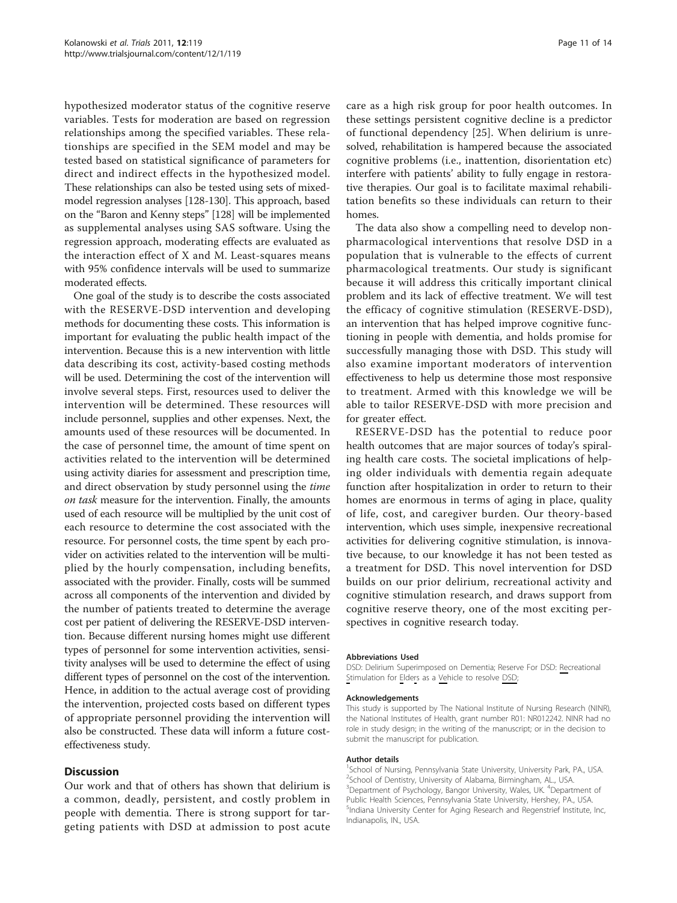hypothesized moderator status of the cognitive reserve variables. Tests for moderation are based on regression relationships among the specified variables. These relationships are specified in the SEM model and may be tested based on statistical significance of parameters for direct and indirect effects in the hypothesized model. These relationships can also be tested using sets of mixedmodel regression analyses [[128](#page-13-0)-[130\]](#page-13-0). This approach, based on the "Baron and Kenny steps" [\[128\]](#page-13-0) will be implemented as supplemental analyses using SAS software. Using the regression approach, moderating effects are evaluated as the interaction effect of X and M. Least-squares means with 95% confidence intervals will be used to summarize moderated effects.

One goal of the study is to describe the costs associated with the RESERVE-DSD intervention and developing methods for documenting these costs. This information is important for evaluating the public health impact of the intervention. Because this is a new intervention with little data describing its cost, activity-based costing methods will be used. Determining the cost of the intervention will involve several steps. First, resources used to deliver the intervention will be determined. These resources will include personnel, supplies and other expenses. Next, the amounts used of these resources will be documented. In the case of personnel time, the amount of time spent on activities related to the intervention will be determined using activity diaries for assessment and prescription time, and direct observation by study personnel using the time on task measure for the intervention. Finally, the amounts used of each resource will be multiplied by the unit cost of each resource to determine the cost associated with the resource. For personnel costs, the time spent by each provider on activities related to the intervention will be multiplied by the hourly compensation, including benefits, associated with the provider. Finally, costs will be summed across all components of the intervention and divided by the number of patients treated to determine the average cost per patient of delivering the RESERVE-DSD intervention. Because different nursing homes might use different types of personnel for some intervention activities, sensitivity analyses will be used to determine the effect of using different types of personnel on the cost of the intervention. Hence, in addition to the actual average cost of providing the intervention, projected costs based on different types of appropriate personnel providing the intervention will also be constructed. These data will inform a future costeffectiveness study.

# **Discussion**

Our work and that of others has shown that delirium is a common, deadly, persistent, and costly problem in people with dementia. There is strong support for targeting patients with DSD at admission to post acute

care as a high risk group for poor health outcomes. In these settings persistent cognitive decline is a predictor of functional dependency [[25\]](#page-11-0). When delirium is unresolved, rehabilitation is hampered because the associated cognitive problems (i.e., inattention, disorientation etc) interfere with patients' ability to fully engage in restorative therapies. Our goal is to facilitate maximal rehabilitation benefits so these individuals can return to their homes.

The data also show a compelling need to develop nonpharmacological interventions that resolve DSD in a population that is vulnerable to the effects of current pharmacological treatments. Our study is significant because it will address this critically important clinical problem and its lack of effective treatment. We will test the efficacy of cognitive stimulation (RESERVE-DSD), an intervention that has helped improve cognitive functioning in people with dementia, and holds promise for successfully managing those with DSD. This study will also examine important moderators of intervention effectiveness to help us determine those most responsive to treatment. Armed with this knowledge we will be able to tailor RESERVE-DSD with more precision and for greater effect.

RESERVE-DSD has the potential to reduce poor health outcomes that are major sources of today's spiraling health care costs. The societal implications of helping older individuals with dementia regain adequate function after hospitalization in order to return to their homes are enormous in terms of aging in place, quality of life, cost, and caregiver burden. Our theory-based intervention, which uses simple, inexpensive recreational activities for delivering cognitive stimulation, is innovative because, to our knowledge it has not been tested as a treatment for DSD. This novel intervention for DSD builds on our prior delirium, recreational activity and cognitive stimulation research, and draws support from cognitive reserve theory, one of the most exciting perspectives in cognitive research today.

#### Abbreviations Used

DSD: Delirium Superimposed on Dementia; Reserve For DSD: Recreational Stimulation for Elders as a Vehicle to resolve DSD

#### Acknowledgements

This study is supported by The National Institute of Nursing Research (NINR), the National Institutes of Health, grant number R01: NR012242. NINR had no role in study design; in the writing of the manuscript; or in the decision to submit the manuscript for publication.

#### Author details

<sup>1</sup>School of Nursing, Pennsylvania State University, University Park, PA., USA 2 School of Dentistry, University of Alabama, Birmingham, AL., USA. <sup>3</sup>Department of Psychology, Bangor University, Wales, UK. <sup>4</sup>Department of Public Health Sciences, Pennsylvania State University, Hershey, PA., USA. 5 Indiana University Center for Aging Research and Regenstrief Institute, Inc, Indianapolis, IN., USA.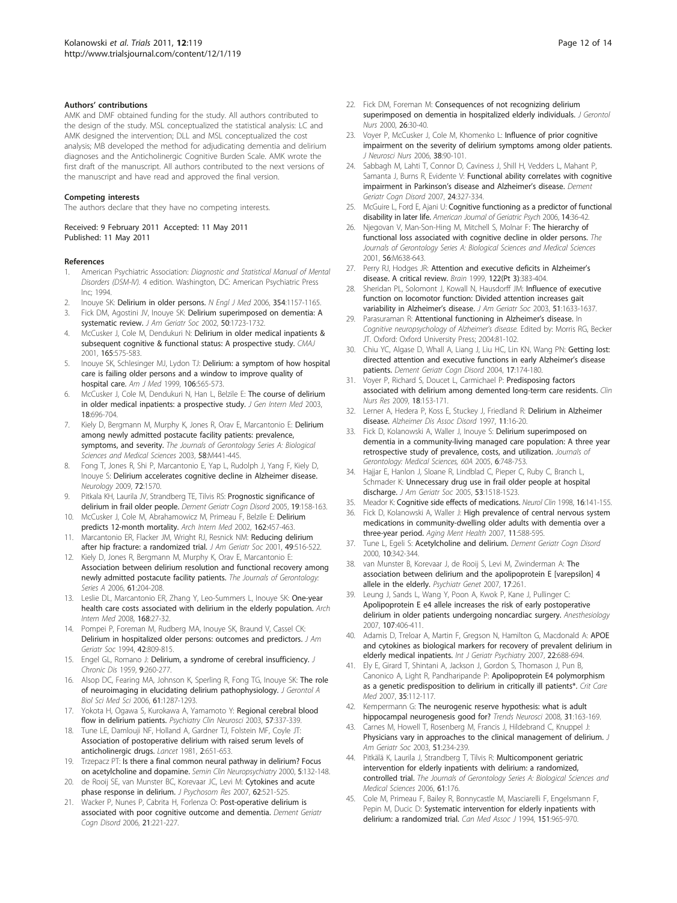#### <span id="page-11-0"></span>Authors' contributions

AMK and DMF obtained funding for the study. All authors contributed to the design of the study. MSL conceptualized the statistical analysis: LC and AMK designed the intervention; DLL and MSL conceptualized the cost analysis; MB developed the method for adjudicating dementia and delirium diagnoses and the Anticholinergic Cognitive Burden Scale. AMK wrote the first draft of the manuscript. All authors contributed to the next versions of the manuscript and have read and approved the final version.

#### Competing interests

The authors declare that they have no competing interests.

Received: 9 February 2011 Accepted: 11 May 2011 Published: 11 May 2011

#### References

- 1. American Psychiatric Association: Diagnostic and Statistical Manual of Mental Disorders (DSM-IV). 4 edition. Washington, DC: American Psychiatric Press Inc; 1994.
- 2. Inouye SK: [Delirium in older persons.](http://www.ncbi.nlm.nih.gov/pubmed/16540616?dopt=Abstract) N Engl J Med 2006, 354:1157-1165.
- 3. Fick DM, Agostini JV, Inouye SK: [Delirium superimposed on dementia: A](http://www.ncbi.nlm.nih.gov/pubmed/12366629?dopt=Abstract) [systematic review.](http://www.ncbi.nlm.nih.gov/pubmed/12366629?dopt=Abstract) J Am Geriatr Soc 2002, 50:1723-1732.
- 4. McCusker J, Cole M, Dendukuri N: [Delirium in older medical inpatients &](http://www.ncbi.nlm.nih.gov/pubmed/11563209?dopt=Abstract) [subsequent cognitive & functional status: A prospective study.](http://www.ncbi.nlm.nih.gov/pubmed/11563209?dopt=Abstract) CMAJ 2001, 165:575-583.
- 5. Inouye SK, Schlesinger MJ, Lydon TJ: [Delirium: a symptom of how hospital](http://www.ncbi.nlm.nih.gov/pubmed/10335730?dopt=Abstract) [care is failing older persons and a window to improve quality of](http://www.ncbi.nlm.nih.gov/pubmed/10335730?dopt=Abstract) [hospital care.](http://www.ncbi.nlm.nih.gov/pubmed/10335730?dopt=Abstract) Am J Med 1999, 106:565-573.
- McCusker J, Cole M, Dendukuri N, Han L, Belzile E: [The course of delirium](http://www.ncbi.nlm.nih.gov/pubmed/12950477?dopt=Abstract) [in older medical inpatients: a prospective study.](http://www.ncbi.nlm.nih.gov/pubmed/12950477?dopt=Abstract) J Gen Intern Med 2003, 18:696-704.
- 7. Kiely D, Bergmann M, Murphy K, Jones R, Orav E, Marcantonio E: Delirium among newly admitted postacute facility patients: prevalence, symptoms, and severity. The Journals of Gerontology Series A: Biological Sciences and Medical Sciences 2003, 58:M441-445.
- 8. Fong T, Jones R, Shi P, Marcantonio E, Yap L, Rudolph J, Yang F, Kiely D, Inouye S: [Delirium accelerates cognitive decline in Alzheimer disease.](http://www.ncbi.nlm.nih.gov/pubmed/19414723?dopt=Abstract) Neurology 2009, 72:1570.
- 9. Pitkala KH, Laurila JV, Strandberg TE, Tilvis RS: [Prognostic significance of](http://www.ncbi.nlm.nih.gov/pubmed/15627764?dopt=Abstract) [delirium in frail older people.](http://www.ncbi.nlm.nih.gov/pubmed/15627764?dopt=Abstract) Dement Geriatr Cogn Disord 2005, 19:158-163.
- 10. McCusker J, Cole M, Abrahamowicz M, Primeau F, Belzile E: [Delirium](http://www.ncbi.nlm.nih.gov/pubmed/11863480?dopt=Abstract) [predicts 12-month mortality.](http://www.ncbi.nlm.nih.gov/pubmed/11863480?dopt=Abstract) Arch Intern Med 2002, 162:457-463.
- 11. Marcantonio ER, Flacker JM, Wright RJ, Resnick NM: [Reducing delirium](http://www.ncbi.nlm.nih.gov/pubmed/11380742?dopt=Abstract) [after hip fracture: a randomized trial.](http://www.ncbi.nlm.nih.gov/pubmed/11380742?dopt=Abstract) J Am Geriatr Soc 2001, 49:516-522.
- 12. Kiely D, Jones R, Bergmann M, Murphy K, Orav E, Marcantonio E: Association between delirium resolution and functional recovery among newly admitted postacute facility patients. The Journals of Gerontology: Series A 2006, 61:204-208.
- 13. Leslie DL, Marcantonio ER, Zhang Y, Leo-Summers L, Inouye SK: [One-year](http://www.ncbi.nlm.nih.gov/pubmed/18195192?dopt=Abstract) [health care costs associated with delirium in the elderly population.](http://www.ncbi.nlm.nih.gov/pubmed/18195192?dopt=Abstract) Arch Intern Med 2008, 168:27-32.
- 14. Pompei P, Foreman M, Rudberg MA, Inouye SK, Braund V, Cassel CK: [Delirium in hospitalized older persons: outcomes and predictors.](http://www.ncbi.nlm.nih.gov/pubmed/8046190?dopt=Abstract) J Am Geriatr Soc 1994, 42:809-815.
- 15. Engel GL, Romano J: [Delirium, a syndrome of cerebral insufficiency.](http://www.ncbi.nlm.nih.gov/pubmed/13631039?dopt=Abstract) J Chronic Dis 1959, 9:260-277.
- 16. Alsop DC, Fearing MA, Johnson K, Sperling R, Fong TG, Inouye SK: [The role](http://www.ncbi.nlm.nih.gov/pubmed/17234822?dopt=Abstract) [of neuroimaging in elucidating delirium pathophysiology.](http://www.ncbi.nlm.nih.gov/pubmed/17234822?dopt=Abstract) J Gerontol A Biol Sci Med Sci 2006, 61:1287-1293.
- 17. Yokota H, Ogawa S, Kurokawa A, Yamamoto Y: [Regional cerebral blood](http://www.ncbi.nlm.nih.gov/pubmed/12753576?dopt=Abstract) [flow in delirium patients.](http://www.ncbi.nlm.nih.gov/pubmed/12753576?dopt=Abstract) Psychiatry Clin Neurosci 2003, 57:337-339.
- 18. Tune LE, Damlouji NF, Holland A, Gardner TJ, Folstein MF, Coyle JT: [Association of postoperative delirium with raised serum levels of](http://www.ncbi.nlm.nih.gov/pubmed/6116042?dopt=Abstract) [anticholinergic drugs.](http://www.ncbi.nlm.nih.gov/pubmed/6116042?dopt=Abstract) Lancet 1981, 2:651-653.
- 19. Trzepacz PT: [Is there a final common neural pathway in delirium? Focus](http://www.ncbi.nlm.nih.gov/pubmed/10837102?dopt=Abstract) [on acetylcholine and dopamine.](http://www.ncbi.nlm.nih.gov/pubmed/10837102?dopt=Abstract) Semin Clin Neuropsychiatry 2000, 5:132-148.
- 20. de Rooij SE, van Munster BC, Korevaar JC, Levi M: [Cytokines and acute](http://www.ncbi.nlm.nih.gov/pubmed/17467406?dopt=Abstract) [phase response in delirium.](http://www.ncbi.nlm.nih.gov/pubmed/17467406?dopt=Abstract) J Psychosom Res 2007, 62:521-525.
- 21. Wacker P, Nunes P, Cabrita H, Forlenza O: [Post-operative delirium is](http://www.ncbi.nlm.nih.gov/pubmed/16428883?dopt=Abstract) [associated with poor cognitive outcome and dementia.](http://www.ncbi.nlm.nih.gov/pubmed/16428883?dopt=Abstract) Dement Geriatr Cogn Disord 2006, 21:221-227.
- 22. Fick DM, Foreman M: [Consequences of not recognizing delirium](http://www.ncbi.nlm.nih.gov/pubmed/11111518?dopt=Abstract) [superimposed on dementia in hospitalized elderly individuals.](http://www.ncbi.nlm.nih.gov/pubmed/11111518?dopt=Abstract) J Gerontol Nurs 2000, 26:30-40.
- 23. Voyer P, McCusker J, Cole M, Khomenko L: [Influence of prior cognitive](http://www.ncbi.nlm.nih.gov/pubmed/16681289?dopt=Abstract) [impairment on the severity of delirium symptoms among older patients.](http://www.ncbi.nlm.nih.gov/pubmed/16681289?dopt=Abstract) J Neurosci Nurs 2006, 38:90-101.
- 24. Sabbagh M, Lahti T, Connor D, Caviness J, Shill H, Vedders L, Mahant P, Samanta J, Burns R, Evidente V: [Functional ability correlates with cognitive](http://www.ncbi.nlm.nih.gov/pubmed/17851237?dopt=Abstract) [impairment in Parkinson](http://www.ncbi.nlm.nih.gov/pubmed/17851237?dopt=Abstract)'s disease and Alzheimer's disease. Dement Geriatr Cogn Disord 2007, 24:327-334.
- 25. McGuire L, Ford E, Ajani U: Cognitive functioning as a predictor of functional disability in later life. American Journal of Geriatric Psych 2006, 14:36-42.
- 26. Njegovan V, Man-Son-Hing M, Mitchell S, Molnar F: The hierarchy of functional loss associated with cognitive decline in older persons. The Journals of Gerontology Series A: Biological Sciences and Medical Sciences 2001, 56:M638-643.
- 27. Perry RJ, Hodges JR: [Attention and executive deficits in Alzheimer](http://www.ncbi.nlm.nih.gov/pubmed/10094249?dopt=Abstract)'s [disease. A critical review.](http://www.ncbi.nlm.nih.gov/pubmed/10094249?dopt=Abstract) Brain 1999, 122(Pt 3):383-404.
- Sheridan PL, Solomont J, Kowall N, Hausdorff JM: [Influence of executive](http://www.ncbi.nlm.nih.gov/pubmed/14687395?dopt=Abstract) [function on locomotor function: Divided attention increases gait](http://www.ncbi.nlm.nih.gov/pubmed/14687395?dopt=Abstract) [variability in Alzheimer](http://www.ncbi.nlm.nih.gov/pubmed/14687395?dopt=Abstract)'s disease. J Am Geriatr Soc 2003, 51:1633-1637.
- 29. Parasuraman R: [Attentional functioning in Alzheimer](http://www.ncbi.nlm.nih.gov/pubmed/21493755?dopt=Abstract)'s disease. In Cognitive neuropsychology of Alzheimer's disease. Edited by: Morris RG, Becker JT. Oxford: Oxford University Press; 2004:81-102.
- 30. Chiu YC, Algase D, Whall A, Liang J, Liu HC, Lin KN, Wang PN: [Getting lost:](http://www.ncbi.nlm.nih.gov/pubmed/14739541?dopt=Abstract) [directed attention and executive functions in early Alzheimer](http://www.ncbi.nlm.nih.gov/pubmed/14739541?dopt=Abstract)'s disease [patients.](http://www.ncbi.nlm.nih.gov/pubmed/14739541?dopt=Abstract) Dement Geriatr Cogn Disord 2004, 17:174-180.
- 31. Voyer P, Richard S, Doucet L, Carmichael P: [Predisposing factors](http://www.ncbi.nlm.nih.gov/pubmed/19377042?dopt=Abstract) [associated with delirium among demented long-term care residents.](http://www.ncbi.nlm.nih.gov/pubmed/19377042?dopt=Abstract) Clin Nurs Res 2009, 18:153-171.
- 32. Lerner A, Hedera P, Koss E, Stuckey J, Friedland R: [Delirium in Alzheimer](http://www.ncbi.nlm.nih.gov/pubmed/9071440?dopt=Abstract) [disease.](http://www.ncbi.nlm.nih.gov/pubmed/9071440?dopt=Abstract) Alzheimer Dis Assoc Disord 1997, 11:16-20.
- 33. Fick D, Kolanowski A, Waller J, Inouye S: Delirium superimposed on dementia in a community-living managed care population: A three year retrospective study of prevalence, costs, and utilization. Journals of Gerontology: Medical Sciences, 60A 2005, 6:748-753.
- 34. Hajjar E, Hanlon J, Sloane R, Lindblad C, Pieper C, Ruby C, Branch L, Schmader K: [Unnecessary drug use in frail older people at hospital](http://www.ncbi.nlm.nih.gov/pubmed/16137281?dopt=Abstract) [discharge.](http://www.ncbi.nlm.nih.gov/pubmed/16137281?dopt=Abstract) J Am Geriatr Soc 2005, 53:1518-1523.
- 35. Meador K: [Cognitive side effects of medications.](http://www.ncbi.nlm.nih.gov/pubmed/9421545?dopt=Abstract) Neurol Clin 1998, 16:141-155.
- 36. Fick D, Kolanowski A, Waller J: [High prevalence of central nervous system](http://www.ncbi.nlm.nih.gov/pubmed/17882597?dopt=Abstract) [medications in community-dwelling older adults with dementia over a](http://www.ncbi.nlm.nih.gov/pubmed/17882597?dopt=Abstract) [three-year period.](http://www.ncbi.nlm.nih.gov/pubmed/17882597?dopt=Abstract) Aging Ment Health 2007, 11:588-595.
- 37. Tune L, Egeli S: Acetylcholine and delirium. Dement Geriatr Cogn Disord 2000, 10:342-344.
- 38. van Munster B, Korevaar J, de Rooij S, Levi M, Zwinderman A: [The](http://www.ncbi.nlm.nih.gov/pubmed/17728664?dopt=Abstract) [association between delirium and the apolipoprotein E \[varepsilon\] 4](http://www.ncbi.nlm.nih.gov/pubmed/17728664?dopt=Abstract) [allele in the elderly.](http://www.ncbi.nlm.nih.gov/pubmed/17728664?dopt=Abstract) Psychiatr Genet 2007, 17:261.
- 39. Leung J, Sands L, Wang Y, Poon A, Kwok P, Kane J, Pullinger C: [Apolipoprotein E e4 allele increases the risk of early postoperative](http://www.ncbi.nlm.nih.gov/pubmed/17721242?dopt=Abstract) [delirium in older patients undergoing noncardiac surgery.](http://www.ncbi.nlm.nih.gov/pubmed/17721242?dopt=Abstract) Anesthesiology 2007, 107:406-411.
- 40. Adamis D, Treloar A, Martin F, Gregson N, Hamilton G, Macdonald A: [APOE](http://www.ncbi.nlm.nih.gov/pubmed/17203511?dopt=Abstract) [and cytokines as biological markers for recovery of prevalent delirium in](http://www.ncbi.nlm.nih.gov/pubmed/17203511?dopt=Abstract) [elderly medical inpatients.](http://www.ncbi.nlm.nih.gov/pubmed/17203511?dopt=Abstract) Int J Geriatr Psychiatry 2007, 22:688-694.
- 41. Ely E, Girard T, Shintani A, Jackson J, Gordon S, Thomason J, Pun B, Canonico A, Light R, Pandharipande P: [Apolipoprotein E4 polymorphism](http://www.ncbi.nlm.nih.gov/pubmed/17133176?dopt=Abstract) [as a genetic predisposition to delirium in critically ill patients\\*.](http://www.ncbi.nlm.nih.gov/pubmed/17133176?dopt=Abstract) Crit Care Med 2007, 35:112-117.
- 42. Kempermann G: [The neurogenic reserve hypothesis: what is adult](http://www.ncbi.nlm.nih.gov/pubmed/18329110?dopt=Abstract) [hippocampal neurogenesis good for?](http://www.ncbi.nlm.nih.gov/pubmed/18329110?dopt=Abstract) Trends Neurosci 2008, 31:163-169.
- 43. Carnes M, Howell T, Rosenberg M, Francis J, Hildebrand C, Knuppel J: [Physicians vary in approaches to the clinical management of delirium.](http://www.ncbi.nlm.nih.gov/pubmed/12558721?dopt=Abstract) J Am Geriatr Soc 2003, 51:234-239.
- 44. Pitkälä K, Laurila J, Strandberg T, Tilvis R: Multicomponent geriatric intervention for elderly inpatients with delirium: a randomized, controlled trial. The Journals of Gerontology Series A: Biological Sciences and Medical Sciences 2006, 61:176.
- 45. Cole M, Primeau F, Bailey R, Bonnycastle M, Masciarelli F, Engelsmann F, Pepin M, Ducic D: Systematic intervention for elderly inpatients with delirium: a randomized trial. Can Med Assoc J 1994, 151:965-970.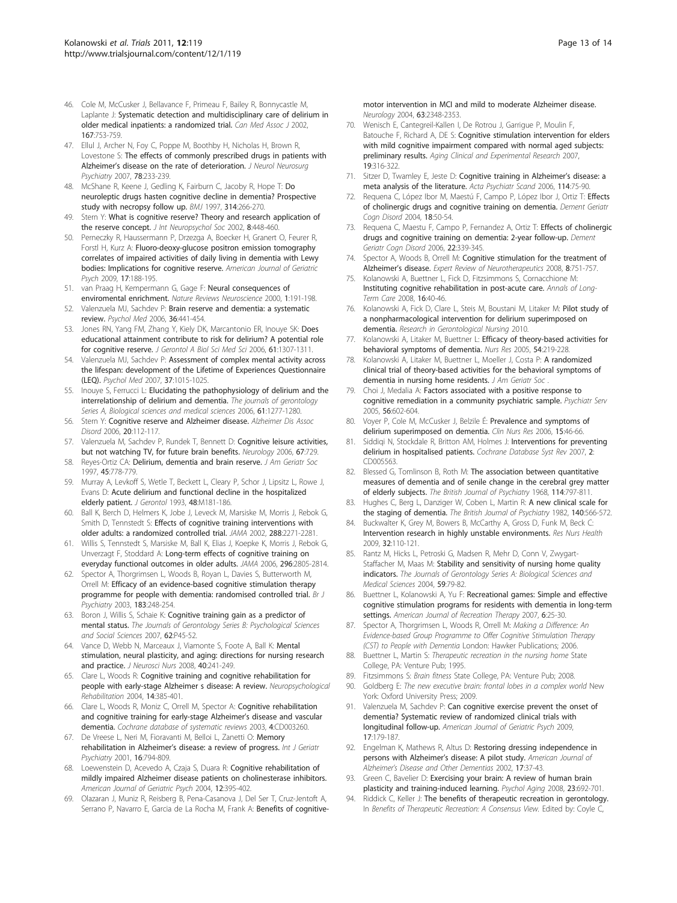- <span id="page-12-0"></span>46. Cole M, McCusker J, Bellavance F, Primeau F, Bailey R, Bonnycastle M, Laplante J: Systematic detection and multidisciplinary care of delirium in older medical inpatients: a randomized trial. Can Med Assoc J 2002, 167:753-759.
- 47. Ellul J, Archer N, Foy C, Poppe M, Boothby H, Nicholas H, Brown R, Lovestone S: [The effects of commonly prescribed drugs in patients with](http://www.ncbi.nlm.nih.gov/pubmed/17012333?dopt=Abstract) Alzheimer'[s disease on the rate of deterioration.](http://www.ncbi.nlm.nih.gov/pubmed/17012333?dopt=Abstract) J Neurol Neurosurg Psychiatry 2007, 78:233-239.
- 48. McShane R, Keene J, Gedling K, Fairburn C, Jacoby R, Hope T: [Do](http://www.ncbi.nlm.nih.gov/pubmed/9022490?dopt=Abstract) [neuroleptic drugs hasten cognitive decline in dementia? Prospective](http://www.ncbi.nlm.nih.gov/pubmed/9022490?dopt=Abstract) [study with necropsy follow up.](http://www.ncbi.nlm.nih.gov/pubmed/9022490?dopt=Abstract) BMJ 1997, 314:266-270.
- 49. Stern Y: [What is cognitive reserve? Theory and research application of](http://www.ncbi.nlm.nih.gov/pubmed/11939702?dopt=Abstract) [the reserve concept.](http://www.ncbi.nlm.nih.gov/pubmed/11939702?dopt=Abstract) J Int Neuropsychol Soc 2002, 8:448-460.
- 50. Perneczky R, Haussermann P, Drzezga A, Boecker H, Granert O, Feurer R, Forstl H, Kurz A: Fluoro-deoxy-glucose positron emission tomography correlates of impaired activities of daily living in dementia with Lewy bodies: Implications for cognitive reserve. American Journal of Geriatric Psych 2009, 17:188-195.
- 51. van Praag H, Kempermann G, Gage F: [Neural consequences of](http://www.ncbi.nlm.nih.gov/pubmed/11257907?dopt=Abstract) [enviromental enrichment.](http://www.ncbi.nlm.nih.gov/pubmed/11257907?dopt=Abstract) Nature Reviews Neuroscience 2000, 1:191-198.
- 52. Valenzuela MJ, Sachdev P: [Brain reserve and dementia: a systematic](http://www.ncbi.nlm.nih.gov/pubmed/16207391?dopt=Abstract) [review.](http://www.ncbi.nlm.nih.gov/pubmed/16207391?dopt=Abstract) Psychol Med 2006, 36:441-454.
- 53. Jones RN, Yang FM, Zhang Y, Kiely DK, Marcantonio ER, Inouye SK: [Does](http://www.ncbi.nlm.nih.gov/pubmed/17234825?dopt=Abstract) [educational attainment contribute to risk for delirium? A potential role](http://www.ncbi.nlm.nih.gov/pubmed/17234825?dopt=Abstract) [for cognitive reserve.](http://www.ncbi.nlm.nih.gov/pubmed/17234825?dopt=Abstract) J Gerontol A Biol Sci Med Sci 2006, 61:1307-1311.
- 54. Valenzuela MJ, Sachdev P: [Assessment of complex mental activity across](http://www.ncbi.nlm.nih.gov/pubmed/17112402?dopt=Abstract) [the lifespan: development of the Lifetime of Experiences Questionnaire](http://www.ncbi.nlm.nih.gov/pubmed/17112402?dopt=Abstract) [\(LEQ\).](http://www.ncbi.nlm.nih.gov/pubmed/17112402?dopt=Abstract) Psychol Med 2007, 37:1015-1025.
- 55. Inouye S, Ferrucci L: [Elucidating the pathophysiology of delirium and the](http://www.ncbi.nlm.nih.gov/pubmed/17234820?dopt=Abstract) [interrelationship of delirium and dementia.](http://www.ncbi.nlm.nih.gov/pubmed/17234820?dopt=Abstract) The journals of gerontology Series A, Biological sciences and medical sciences 2006, 61:1277-1280.
- 56. Stern Y: [Cognitive reserve and Alzheimer disease.](http://www.ncbi.nlm.nih.gov/pubmed/16772747?dopt=Abstract) Alzheimer Dis Assoc Disord 2006, 20:112-117.
- 57. Valenzuela M, Sachdev P, Rundek T, Bennett D: [Cognitive leisure activities,](http://www.ncbi.nlm.nih.gov/pubmed/16924044?dopt=Abstract) [but not watching TV, for future brain benefits.](http://www.ncbi.nlm.nih.gov/pubmed/16924044?dopt=Abstract) Neurology 2006, 67:729.
- 58. Reyes-Ortiz CA: [Delirium, dementia and brain reserve.](http://www.ncbi.nlm.nih.gov/pubmed/9180681?dopt=Abstract) J Am Geriatr Soc 1997, 45:778-779.
- 59. Murray A, Levkoff S, Wetle T, Beckett L, Cleary P, Schor J, Lipsitz L, Rowe J, Evans D: [Acute delirium and functional decline in the hospitalized](http://www.ncbi.nlm.nih.gov/pubmed/8366260?dopt=Abstract) elderly [patient.](http://www.ncbi.nlm.nih.gov/pubmed/8366260?dopt=Abstract) J Gerontol 1993, 48:M181-186.
- 60. Ball K, Berch D, Helmers K, Jobe J, Leveck M, Marsiske M, Morris J, Rebok G, Smith D, Tennstedt S: [Effects of cognitive training interventions with](http://www.ncbi.nlm.nih.gov/pubmed/12425704?dopt=Abstract) [older adults: a randomized controlled trial.](http://www.ncbi.nlm.nih.gov/pubmed/12425704?dopt=Abstract) JAMA 2002, 288:2271-2281.
- 61. Willis S, Tennstedt S, Marsiske M, Ball K, Elias J, Koepke K, Morris J, Rebok G, Unverzagt F, Stoddard A: [Long-term effects of cognitive training on](http://www.ncbi.nlm.nih.gov/pubmed/17179457?dopt=Abstract) [everyday functional outcomes in older adults.](http://www.ncbi.nlm.nih.gov/pubmed/17179457?dopt=Abstract) JAMA 2006, 296:2805-2814.
- 62. Spector A, Thorgrimsen L, Woods B, Royan L, Davies S, Butterworth M, Orrell M: [Efficacy of an evidence-based cognitive stimulation therapy](http://www.ncbi.nlm.nih.gov/pubmed/12948999?dopt=Abstract) [programme for people with dementia: randomised controlled trial.](http://www.ncbi.nlm.nih.gov/pubmed/12948999?dopt=Abstract) Br J Psychiatry 2003, 183:248-254.
- 63. Boron J, Willis S, Schaie K: Cognitive training gain as a predictor of mental status. The Journals of Gerontology Series B: Psychological Sciences and Social Sciences 2007, 62:P45-52.
- 64. Vance D, Webb N, Marceaux J, Viamonte S, Foote A, Ball K: [Mental](http://www.ncbi.nlm.nih.gov/pubmed/18727340?dopt=Abstract) [stimulation, neural plasticity, and aging: directions for nursing research](http://www.ncbi.nlm.nih.gov/pubmed/18727340?dopt=Abstract) [and practice.](http://www.ncbi.nlm.nih.gov/pubmed/18727340?dopt=Abstract) J Neurosci Nurs 2008, 40:241-249.
- 65. Clare L, Woods R: Cognitive training and cognitive rehabilitation for people with early-stage Alzheimer s disease: A review. Neuropsychological Rehabilitation 2004, 14:385-401.
- 66. Clare L, Woods R, Moniz C, Orrell M, Spector A: Cognitive rehabilitation and cognitive training for early-stage Alzheimer's disease and vascular dementia. Cochrane database of systematic reviews 2003, 4:CD003260.
- 67. De Vreese L, Neri M, Fioravanti M, Belloi L, Zanetti O: [Memory](http://www.ncbi.nlm.nih.gov/pubmed/11536347?dopt=Abstract) rehabilitation in Alzheimer'[s disease: a review of progress.](http://www.ncbi.nlm.nih.gov/pubmed/11536347?dopt=Abstract) Int J Geriatr Psychiatry 2001, 16:794-809.
- 68. Loewenstein D, Acevedo A, Czaja S, Duara R: Cognitive rehabilitation of mildly impaired Alzheimer disease patients on cholinesterase inhibitors. American Journal of Geriatric Psych 2004, 12:395-402.
- 69. Olazaran J, Muniz R, Reisberg B, Pena-Casanova J, Del Ser T, Cruz-Jentoft A, Serrano P, Navarro E, Garcia de La Rocha M, Frank A: [Benefits of cognitive-](http://www.ncbi.nlm.nih.gov/pubmed/15623698?dopt=Abstract)

[motor intervention in MCI and mild to moderate Alzheimer disease.](http://www.ncbi.nlm.nih.gov/pubmed/15623698?dopt=Abstract) Neurology 2004, 63:2348-2353.

- 70. Wenisch E, Cantegreil-Kallen I, De Rotrou J, Garrigue P, Moulin F, Batouche F, Richard A, DE S: [Cognitive stimulation intervention for elders](http://www.ncbi.nlm.nih.gov/pubmed/17726363?dopt=Abstract) [with mild cognitive impairment compared with normal aged subjects:](http://www.ncbi.nlm.nih.gov/pubmed/17726363?dopt=Abstract) [preliminary results.](http://www.ncbi.nlm.nih.gov/pubmed/17726363?dopt=Abstract) Aging Clinical and Experimental Research 2007, 19:316-322.
- 71. Sitzer D, Twamley E, Jeste D: [Cognitive training in Alzheimer](http://www.ncbi.nlm.nih.gov/pubmed/16836595?dopt=Abstract)'s disease: a [meta analysis of the literature.](http://www.ncbi.nlm.nih.gov/pubmed/16836595?dopt=Abstract) Acta Psychiatr Scand 2006, 114:75-90.
- 72. Requena C, López Ibor M, Maestú F, Campo P, López Ibor J, Ortiz T: [Effects](http://www.ncbi.nlm.nih.gov/pubmed/15084794?dopt=Abstract) [of cholinergic drugs and cognitive training on dementia.](http://www.ncbi.nlm.nih.gov/pubmed/15084794?dopt=Abstract) Dement Geriatr Cogn Disord 2004, 18:50-54.
- 73. Requena C, Maestu F, Campo P, Fernandez A, Ortiz T: [Effects of cholinergic](http://www.ncbi.nlm.nih.gov/pubmed/16954689?dopt=Abstract) [drugs and cognitive training on dementia: 2-year follow-up.](http://www.ncbi.nlm.nih.gov/pubmed/16954689?dopt=Abstract) Dement Geriatr Coan Disord 2006, 22:339-345.
- 74. Spector A, Woods B, Orrell M: [Cognitive stimulation for the treatment of](http://www.ncbi.nlm.nih.gov/pubmed/18457532?dopt=Abstract) [Alzheimer](http://www.ncbi.nlm.nih.gov/pubmed/18457532?dopt=Abstract)'s disease. Expert Review of Neurotherapeutics 2008, 8:751-757.
- 75. Kolanowski A, Buettner L, Fick D, Fitzsimmons S, Cornacchione M: Instituting cognitive rehabilitation in post-acute care. Annals of Long-Term Care 2008, 16:40-46.
- 76. Kolanowski A, Fick D, Clare L, Steis M, Boustani M, Litaker M: Pilot study of a nonpharmacological intervention for delirium superimposed on dementia. Research in Gerontological Nursing 2010.
- 77. Kolanowski A, Litaker M, Buettner L: [Efficacy of theory-based activities for](http://www.ncbi.nlm.nih.gov/pubmed/16027564?dopt=Abstract) [behavioral symptoms of dementia.](http://www.ncbi.nlm.nih.gov/pubmed/16027564?dopt=Abstract) Nurs Res 2005, 54:219-228.
- 78. Kolanowski A, Litaker M, Buettner L, Moeller J, Costa P: A randomized clinical trial of theory-based activities for the behavioral symptoms of dementia in nursing home residents. J Am Geriatr Soc
- 79. Choi J, Medalia A: [Factors associated with a positive response to](http://www.ncbi.nlm.nih.gov/pubmed/15872171?dopt=Abstract) [cognitive remediation in a community psychiatric sample.](http://www.ncbi.nlm.nih.gov/pubmed/15872171?dopt=Abstract) Psychiatr Serv 2005, 56:602-604.
- Voyer P, Cole M, McCusker J, Belzile É: [Prevalence and symptoms of](http://www.ncbi.nlm.nih.gov/pubmed/16410622?dopt=Abstract) [delirium superimposed on dementia.](http://www.ncbi.nlm.nih.gov/pubmed/16410622?dopt=Abstract) Clin Nurs Res 2006, 15:46-66.
- 81. Siddiqi N, Stockdale R, Britton AM, Holmes J: [Interventions for preventing](http://www.ncbi.nlm.nih.gov/pubmed/17443600?dopt=Abstract) [delirium in hospitalised patients.](http://www.ncbi.nlm.nih.gov/pubmed/17443600?dopt=Abstract) Cochrane Database Syst Rev 2007, 2: CD005563.
- 82. Blessed G, Tomlinson B, Roth M: [The association between quantitative](http://www.ncbi.nlm.nih.gov/pubmed/5662937?dopt=Abstract) [measures of dementia and of senile change in the cerebral grey matter](http://www.ncbi.nlm.nih.gov/pubmed/5662937?dopt=Abstract) [of elderly subjects.](http://www.ncbi.nlm.nih.gov/pubmed/5662937?dopt=Abstract) The British Journal of Psychiatry 1968, 114:797-811.
- 83. Hughes C, Berg L, Danziger W, Coben L, Martin R: [A new clinical scale for](http://www.ncbi.nlm.nih.gov/pubmed/7104545?dopt=Abstract) [the staging of dementia.](http://www.ncbi.nlm.nih.gov/pubmed/7104545?dopt=Abstract) The British Journal of Psychiatry 1982, 140:566-572.
- Buckwalter K, Grey M, Bowers B, McCarthy A, Gross D, Funk M, Beck C: [Intervention research in highly unstable environments.](http://www.ncbi.nlm.nih.gov/pubmed/19035619?dopt=Abstract) Res Nurs Health 2009, 32:110-121.
- 85. Rantz M, Hicks L, Petroski G, Madsen R, Mehr D, Conn V, Zwygart-Staffacher M, Maas M: Stability and sensitivity of nursing home quality indicators. The Journals of Gerontology Series A: Biological Sciences and Medical Sciences 2004, 59:79-82.
- 86. Buettner L, Kolanowski A, Yu F: Recreational games: Simple and effective cognitive stimulation programs for residents with dementia in long-term settings. American Journal of Recreation Therapy 2007, 6:25-30.
- 87. Spector A, Thorgrimsen L, Woods R, Orrell M: Making a Difference: An Evidence-based Group Programme to Offer Cognitive Stimulation Therapy (CST) to People with Dementia London: Hawker Publications; 2006.
- 88. Buettner L, Martin S: Therapeutic recreation in the nursing home State College, PA: Venture Pub; 1995.
- 89. Fitzsimmons S: Brain fitness State College, PA: Venture Pub; 2008.
- 90. Goldberg E: The new executive brain: frontal lobes in a complex world New York: Oxford University Press; 2009.
- 91. Valenzuela M, Sachdev P: Can cognitive exercise prevent the onset of dementia? Systematic review of randomized clinical trials with longitudinal follow-up. American Journal of Geriatric Psych 2009, 17:179-187.
- 92. Engelman K, Mathews R, Altus D: [Restoring dressing independence in](http://www.ncbi.nlm.nih.gov/pubmed/21522051?dopt=Abstract) persons with Alzheimer'[s disease: A pilot study.](http://www.ncbi.nlm.nih.gov/pubmed/21522051?dopt=Abstract) American Journal of Alzheimer's Disease and Other Dementias 2002, 17:37-43.
- 93. Green C, Bavelier D: [Exercising your brain: A review of human brain](http://www.ncbi.nlm.nih.gov/pubmed/19140641?dopt=Abstract) [plasticity and training-induced learning.](http://www.ncbi.nlm.nih.gov/pubmed/19140641?dopt=Abstract) Psychol Aging 2008, 23:692-701.
- 94. Riddick C, Keller J: The benefits of therapeutic recreation in gerontology. In Benefits of Therapeutic Recreation: A Consensus View. Edited by: Coyle C,